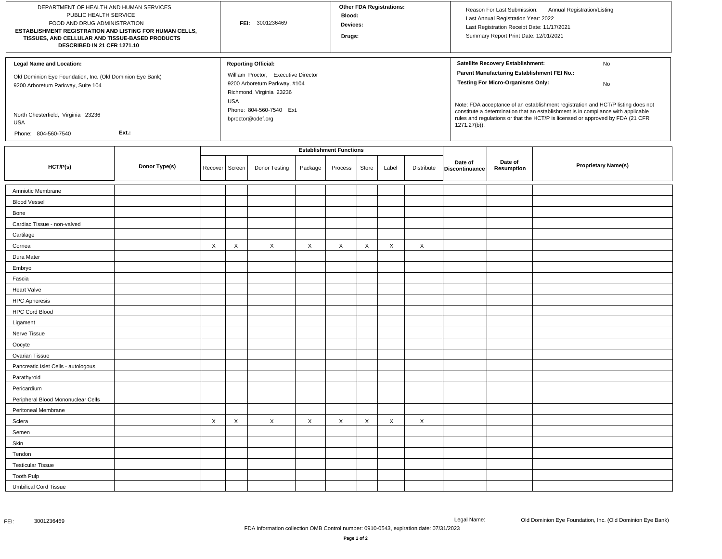| DEPARTMENT OF HEALTH AND HUMAN SERVICES<br>PUBLIC HEALTH SERVICE<br>FOOD AND DRUG ADMINISTRATION<br>ESTABLISHMENT REGISTRATION AND LISTING FOR HUMAN CELLS,<br>TISSUES, AND CELLULAR AND TISSUE-BASED PRODUCTS<br>DESCRIBED IN 21 CFR 1271.10 |               |         |                                | FEI: 3001236469                                          |         |         |                           | <b>Other FDA Registrations:</b> |            |                                                                                                                                                                                     | Reason For Last Submission: Annual Registration/Listing<br>Last Annual Registration Year: 2022<br>Last Registration Receipt Date: 11/17/2021<br>Summary Report Print Date: 12/01/2021 |                            |  |  |  |
|-----------------------------------------------------------------------------------------------------------------------------------------------------------------------------------------------------------------------------------------------|---------------|---------|--------------------------------|----------------------------------------------------------|---------|---------|---------------------------|---------------------------------|------------|-------------------------------------------------------------------------------------------------------------------------------------------------------------------------------------|---------------------------------------------------------------------------------------------------------------------------------------------------------------------------------------|----------------------------|--|--|--|
| <b>Legal Name and Location:</b>                                                                                                                                                                                                               |               |         |                                | <b>Reporting Official:</b>                               |         |         |                           |                                 |            |                                                                                                                                                                                     | Satellite Recovery Establishment:<br>No                                                                                                                                               |                            |  |  |  |
| Old Dominion Eye Foundation, Inc. (Old Dominion Eye Bank)                                                                                                                                                                                     |               |         |                                | William Proctor, Executive Director                      |         |         |                           |                                 |            |                                                                                                                                                                                     | Parent Manufacturing Establishment FEI No.:                                                                                                                                           |                            |  |  |  |
| 9200 Arboretum Parkway, Suite 104                                                                                                                                                                                                             |               |         |                                | 9200 Arboretum Parkway, #104<br>Richmond, Virginia 23236 |         |         |                           |                                 |            |                                                                                                                                                                                     | <b>Testing For Micro-Organisms Only:</b><br>No                                                                                                                                        |                            |  |  |  |
|                                                                                                                                                                                                                                               |               |         |                                |                                                          |         |         |                           |                                 |            |                                                                                                                                                                                     | Note: FDA acceptance of an establishment registration and HCT/P listing does not                                                                                                      |                            |  |  |  |
| North Chesterfield, Virginia 23236<br><b>USA</b>                                                                                                                                                                                              |               |         |                                | Phone: 804-560-7540 Ext.<br>bproctor@odef.org            |         |         |                           |                                 |            | constitute a determination that an establishment is in compliance with applicable<br>rules and regulations or that the HCT/P is licensed or approved by FDA (21 CFR<br>1271.27(b)). |                                                                                                                                                                                       |                            |  |  |  |
| Phone: 804-560-7540                                                                                                                                                                                                                           | Ext.:         |         |                                |                                                          |         |         |                           |                                 |            |                                                                                                                                                                                     |                                                                                                                                                                                       |                            |  |  |  |
|                                                                                                                                                                                                                                               |               |         | <b>Establishment Functions</b> |                                                          |         |         |                           |                                 |            |                                                                                                                                                                                     |                                                                                                                                                                                       |                            |  |  |  |
| HCT/P(s)                                                                                                                                                                                                                                      | Donor Type(s) | Recover | Screen                         | Donor Testing                                            | Package | Process | Store                     | Label                           | Distribute | Date of<br>Discontinuance                                                                                                                                                           | Date of<br>Resumption                                                                                                                                                                 | <b>Proprietary Name(s)</b> |  |  |  |
| Amniotic Membrane                                                                                                                                                                                                                             |               |         |                                |                                                          |         |         |                           |                                 |            |                                                                                                                                                                                     |                                                                                                                                                                                       |                            |  |  |  |
| <b>Blood Vessel</b>                                                                                                                                                                                                                           |               |         |                                |                                                          |         |         |                           |                                 |            |                                                                                                                                                                                     |                                                                                                                                                                                       |                            |  |  |  |
| Bone                                                                                                                                                                                                                                          |               |         |                                |                                                          |         |         |                           |                                 |            |                                                                                                                                                                                     |                                                                                                                                                                                       |                            |  |  |  |
| Cardiac Tissue - non-valved                                                                                                                                                                                                                   |               |         |                                |                                                          |         |         |                           |                                 |            |                                                                                                                                                                                     |                                                                                                                                                                                       |                            |  |  |  |
| Cartilage                                                                                                                                                                                                                                     |               |         |                                |                                                          |         |         |                           |                                 |            |                                                                                                                                                                                     |                                                                                                                                                                                       |                            |  |  |  |
| Cornea                                                                                                                                                                                                                                        |               | X       | X                              | X                                                        | X       | X       | $\times$                  | X                               | X          |                                                                                                                                                                                     |                                                                                                                                                                                       |                            |  |  |  |
| Dura Mater                                                                                                                                                                                                                                    |               |         |                                |                                                          |         |         |                           |                                 |            |                                                                                                                                                                                     |                                                                                                                                                                                       |                            |  |  |  |
| Embryo                                                                                                                                                                                                                                        |               |         |                                |                                                          |         |         |                           |                                 |            |                                                                                                                                                                                     |                                                                                                                                                                                       |                            |  |  |  |
| Fascia                                                                                                                                                                                                                                        |               |         |                                |                                                          |         |         |                           |                                 |            |                                                                                                                                                                                     |                                                                                                                                                                                       |                            |  |  |  |
| Heart Valve                                                                                                                                                                                                                                   |               |         |                                |                                                          |         |         |                           |                                 |            |                                                                                                                                                                                     |                                                                                                                                                                                       |                            |  |  |  |
| <b>HPC Apheresis</b>                                                                                                                                                                                                                          |               |         |                                |                                                          |         |         |                           |                                 |            |                                                                                                                                                                                     |                                                                                                                                                                                       |                            |  |  |  |
| <b>HPC Cord Blood</b>                                                                                                                                                                                                                         |               |         |                                |                                                          |         |         |                           |                                 |            |                                                                                                                                                                                     |                                                                                                                                                                                       |                            |  |  |  |
| Ligament                                                                                                                                                                                                                                      |               |         |                                |                                                          |         |         |                           |                                 |            |                                                                                                                                                                                     |                                                                                                                                                                                       |                            |  |  |  |
| Nerve Tissue                                                                                                                                                                                                                                  |               |         |                                |                                                          |         |         |                           |                                 |            |                                                                                                                                                                                     |                                                                                                                                                                                       |                            |  |  |  |
| Oocyte                                                                                                                                                                                                                                        |               |         |                                |                                                          |         |         |                           |                                 |            |                                                                                                                                                                                     |                                                                                                                                                                                       |                            |  |  |  |
| Ovarian Tissue                                                                                                                                                                                                                                |               |         |                                |                                                          |         |         |                           |                                 |            |                                                                                                                                                                                     |                                                                                                                                                                                       |                            |  |  |  |
| Pancreatic Islet Cells - autologous                                                                                                                                                                                                           |               |         |                                |                                                          |         |         |                           |                                 |            |                                                                                                                                                                                     |                                                                                                                                                                                       |                            |  |  |  |
| Parathyroid                                                                                                                                                                                                                                   |               |         |                                |                                                          |         |         |                           |                                 |            |                                                                                                                                                                                     |                                                                                                                                                                                       |                            |  |  |  |
| Pericardium                                                                                                                                                                                                                                   |               |         |                                |                                                          |         |         |                           |                                 |            |                                                                                                                                                                                     |                                                                                                                                                                                       |                            |  |  |  |
| Peripheral Blood Mononuclear Cells                                                                                                                                                                                                            |               |         |                                |                                                          |         |         |                           |                                 |            |                                                                                                                                                                                     |                                                                                                                                                                                       |                            |  |  |  |
| Peritoneal Membrane                                                                                                                                                                                                                           |               |         |                                |                                                          |         |         |                           |                                 |            |                                                                                                                                                                                     |                                                                                                                                                                                       |                            |  |  |  |
| Sclera                                                                                                                                                                                                                                        |               | X       | X                              | X                                                        | Χ       | X       | $\boldsymbol{\mathsf{X}}$ | X                               | X          |                                                                                                                                                                                     |                                                                                                                                                                                       |                            |  |  |  |
| Semen                                                                                                                                                                                                                                         |               |         |                                |                                                          |         |         |                           |                                 |            |                                                                                                                                                                                     |                                                                                                                                                                                       |                            |  |  |  |
| Skin                                                                                                                                                                                                                                          |               |         |                                |                                                          |         |         |                           |                                 |            |                                                                                                                                                                                     |                                                                                                                                                                                       |                            |  |  |  |
| Tendon                                                                                                                                                                                                                                        |               |         |                                |                                                          |         |         |                           |                                 |            |                                                                                                                                                                                     |                                                                                                                                                                                       |                            |  |  |  |
| <b>Testicular Tissue</b>                                                                                                                                                                                                                      |               |         |                                |                                                          |         |         |                           |                                 |            |                                                                                                                                                                                     |                                                                                                                                                                                       |                            |  |  |  |
| <b>Tooth Pulp</b>                                                                                                                                                                                                                             |               |         |                                |                                                          |         |         |                           |                                 |            |                                                                                                                                                                                     |                                                                                                                                                                                       |                            |  |  |  |
| <b>Umbilical Cord Tissue</b>                                                                                                                                                                                                                  |               |         |                                |                                                          |         |         |                           |                                 |            |                                                                                                                                                                                     |                                                                                                                                                                                       |                            |  |  |  |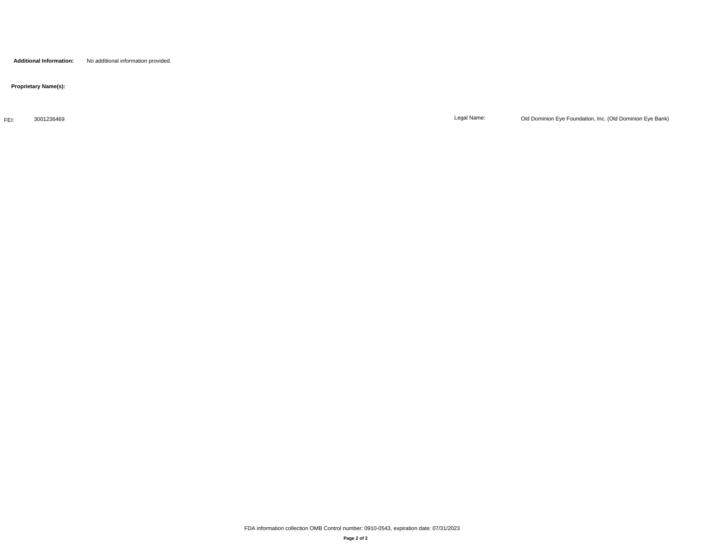**Additional Information:** No additional information provided.

 **Proprietary Name(s):**

FEI: 3001236469

Legal Name: Old Dominion Eye Foundation, Inc. (Old Dominion Eye Bank)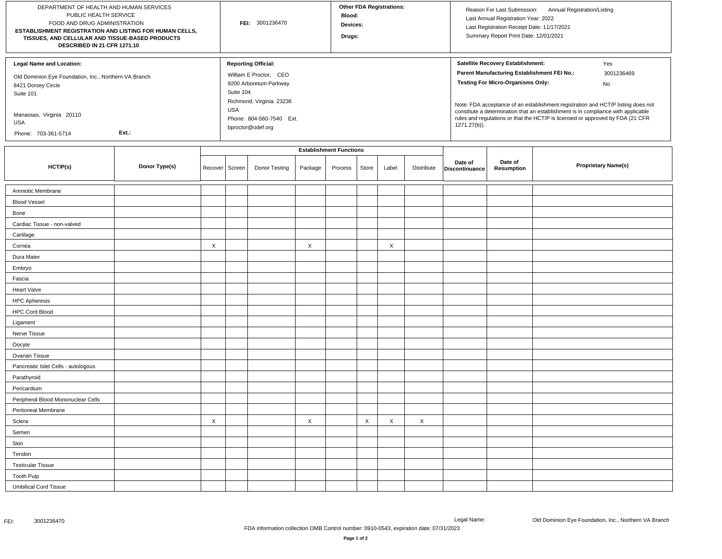| DEPARTMENT OF HEALTH AND HUMAN SERVICES<br>PUBLIC HEALTH SERVICE<br>FOOD AND DRUG ADMINISTRATION<br>ESTABLISHMENT REGISTRATION AND LISTING FOR HUMAN CELLS,<br>TISSUES, AND CELLULAR AND TISSUE-BASED PRODUCTS<br>DESCRIBED IN 21 CFR 1271.10 |               |         |        | FEI: 3001236470                                                                                                                                     |         |                                |       | <b>Other FDA Registrations:</b> |            |                                                                                                                                                                                                                                                                                                                                                                                                                    | Reason For Last Submission: Annual Registration/Listing<br>Last Annual Registration Year: 2022<br>Last Registration Receipt Date: 11/17/2021<br>Summary Report Print Date: 12/01/2021 |                            |  |  |
|-----------------------------------------------------------------------------------------------------------------------------------------------------------------------------------------------------------------------------------------------|---------------|---------|--------|-----------------------------------------------------------------------------------------------------------------------------------------------------|---------|--------------------------------|-------|---------------------------------|------------|--------------------------------------------------------------------------------------------------------------------------------------------------------------------------------------------------------------------------------------------------------------------------------------------------------------------------------------------------------------------------------------------------------------------|---------------------------------------------------------------------------------------------------------------------------------------------------------------------------------------|----------------------------|--|--|
| <b>Legal Name and Location:</b><br>Old Dominion Eye Foundation, Inc., Northern VA Branch<br>8421 Dorsey Circle<br>Suite 101<br>Manassas, Virginia 20110                                                                                       |               |         |        | <b>Reporting Official:</b><br>William E Proctor, CEO<br>9200 Arboretum Parkway<br>Suite 104<br>Richmond, Virginia 23236<br>Phone: 804-560-7540 Ext. |         |                                |       |                                 |            | Satellite Recovery Establishment:<br>Yes<br>Parent Manufacturing Establishment FEI No.:<br>3001236469<br><b>Testing For Micro-Organisms Only:</b><br>No<br>Note: FDA acceptance of an establishment registration and HCT/P listing does not<br>constitute a determination that an establishment is in compliance with applicable<br>rules and regulations or that the HCT/P is licensed or approved by FDA (21 CFR |                                                                                                                                                                                       |                            |  |  |
| <b>USA</b><br>Ext.:<br>Phone: 703-361-5714                                                                                                                                                                                                    |               |         |        | bproctor@odef.org                                                                                                                                   |         |                                |       |                                 |            | 1271.27(b)).                                                                                                                                                                                                                                                                                                                                                                                                       |                                                                                                                                                                                       |                            |  |  |
|                                                                                                                                                                                                                                               |               |         |        |                                                                                                                                                     |         | <b>Establishment Functions</b> |       |                                 |            |                                                                                                                                                                                                                                                                                                                                                                                                                    |                                                                                                                                                                                       |                            |  |  |
| HCT/P(s)                                                                                                                                                                                                                                      | Donor Type(s) | Recover | Screen | Donor Testing                                                                                                                                       | Package | Process                        | Store | Label                           | Distribute | Date of<br>Discontinuance                                                                                                                                                                                                                                                                                                                                                                                          | Date of<br><b>Resumption</b>                                                                                                                                                          | <b>Proprietary Name(s)</b> |  |  |
| Amniotic Membrane                                                                                                                                                                                                                             |               |         |        |                                                                                                                                                     |         |                                |       |                                 |            |                                                                                                                                                                                                                                                                                                                                                                                                                    |                                                                                                                                                                                       |                            |  |  |
| <b>Blood Vessel</b>                                                                                                                                                                                                                           |               |         |        |                                                                                                                                                     |         |                                |       |                                 |            |                                                                                                                                                                                                                                                                                                                                                                                                                    |                                                                                                                                                                                       |                            |  |  |
| Bone                                                                                                                                                                                                                                          |               |         |        |                                                                                                                                                     |         |                                |       |                                 |            |                                                                                                                                                                                                                                                                                                                                                                                                                    |                                                                                                                                                                                       |                            |  |  |
| Cardiac Tissue - non-valved                                                                                                                                                                                                                   |               |         |        |                                                                                                                                                     |         |                                |       |                                 |            |                                                                                                                                                                                                                                                                                                                                                                                                                    |                                                                                                                                                                                       |                            |  |  |
| Cartilage                                                                                                                                                                                                                                     |               |         |        |                                                                                                                                                     |         |                                |       |                                 |            |                                                                                                                                                                                                                                                                                                                                                                                                                    |                                                                                                                                                                                       |                            |  |  |
| Cornea                                                                                                                                                                                                                                        |               | X       |        |                                                                                                                                                     | X       |                                |       | X                               |            |                                                                                                                                                                                                                                                                                                                                                                                                                    |                                                                                                                                                                                       |                            |  |  |
| Dura Mater                                                                                                                                                                                                                                    |               |         |        |                                                                                                                                                     |         |                                |       |                                 |            |                                                                                                                                                                                                                                                                                                                                                                                                                    |                                                                                                                                                                                       |                            |  |  |
| Embryo                                                                                                                                                                                                                                        |               |         |        |                                                                                                                                                     |         |                                |       |                                 |            |                                                                                                                                                                                                                                                                                                                                                                                                                    |                                                                                                                                                                                       |                            |  |  |
| Fascia                                                                                                                                                                                                                                        |               |         |        |                                                                                                                                                     |         |                                |       |                                 |            |                                                                                                                                                                                                                                                                                                                                                                                                                    |                                                                                                                                                                                       |                            |  |  |
| <b>Heart Valve</b>                                                                                                                                                                                                                            |               |         |        |                                                                                                                                                     |         |                                |       |                                 |            |                                                                                                                                                                                                                                                                                                                                                                                                                    |                                                                                                                                                                                       |                            |  |  |
| <b>HPC Apheresis</b>                                                                                                                                                                                                                          |               |         |        |                                                                                                                                                     |         |                                |       |                                 |            |                                                                                                                                                                                                                                                                                                                                                                                                                    |                                                                                                                                                                                       |                            |  |  |
| <b>HPC Cord Blood</b>                                                                                                                                                                                                                         |               |         |        |                                                                                                                                                     |         |                                |       |                                 |            |                                                                                                                                                                                                                                                                                                                                                                                                                    |                                                                                                                                                                                       |                            |  |  |
| Ligament                                                                                                                                                                                                                                      |               |         |        |                                                                                                                                                     |         |                                |       |                                 |            |                                                                                                                                                                                                                                                                                                                                                                                                                    |                                                                                                                                                                                       |                            |  |  |
| Nerve Tissue                                                                                                                                                                                                                                  |               |         |        |                                                                                                                                                     |         |                                |       |                                 |            |                                                                                                                                                                                                                                                                                                                                                                                                                    |                                                                                                                                                                                       |                            |  |  |
| Oocyte                                                                                                                                                                                                                                        |               |         |        |                                                                                                                                                     |         |                                |       |                                 |            |                                                                                                                                                                                                                                                                                                                                                                                                                    |                                                                                                                                                                                       |                            |  |  |
| Ovarian Tissue                                                                                                                                                                                                                                |               |         |        |                                                                                                                                                     |         |                                |       |                                 |            |                                                                                                                                                                                                                                                                                                                                                                                                                    |                                                                                                                                                                                       |                            |  |  |
| Pancreatic Islet Cells - autologous                                                                                                                                                                                                           |               |         |        |                                                                                                                                                     |         |                                |       |                                 |            |                                                                                                                                                                                                                                                                                                                                                                                                                    |                                                                                                                                                                                       |                            |  |  |
| Parathyroid                                                                                                                                                                                                                                   |               |         |        |                                                                                                                                                     |         |                                |       |                                 |            |                                                                                                                                                                                                                                                                                                                                                                                                                    |                                                                                                                                                                                       |                            |  |  |
| Pericardium                                                                                                                                                                                                                                   |               |         |        |                                                                                                                                                     |         |                                |       |                                 |            |                                                                                                                                                                                                                                                                                                                                                                                                                    |                                                                                                                                                                                       |                            |  |  |
| Peripheral Blood Mononuclear Cells                                                                                                                                                                                                            |               |         |        |                                                                                                                                                     |         |                                |       |                                 |            |                                                                                                                                                                                                                                                                                                                                                                                                                    |                                                                                                                                                                                       |                            |  |  |
| Peritoneal Membrane                                                                                                                                                                                                                           |               |         |        |                                                                                                                                                     |         |                                |       |                                 |            |                                                                                                                                                                                                                                                                                                                                                                                                                    |                                                                                                                                                                                       |                            |  |  |
| Sclera                                                                                                                                                                                                                                        |               | X       |        |                                                                                                                                                     | X       |                                | Χ     | X                               | X          |                                                                                                                                                                                                                                                                                                                                                                                                                    |                                                                                                                                                                                       |                            |  |  |
| Semen                                                                                                                                                                                                                                         |               |         |        |                                                                                                                                                     |         |                                |       |                                 |            |                                                                                                                                                                                                                                                                                                                                                                                                                    |                                                                                                                                                                                       |                            |  |  |
| Skin                                                                                                                                                                                                                                          |               |         |        |                                                                                                                                                     |         |                                |       |                                 |            |                                                                                                                                                                                                                                                                                                                                                                                                                    |                                                                                                                                                                                       |                            |  |  |
| Tendon                                                                                                                                                                                                                                        |               |         |        |                                                                                                                                                     |         |                                |       |                                 |            |                                                                                                                                                                                                                                                                                                                                                                                                                    |                                                                                                                                                                                       |                            |  |  |
| <b>Testicular Tissue</b>                                                                                                                                                                                                                      |               |         |        |                                                                                                                                                     |         |                                |       |                                 |            |                                                                                                                                                                                                                                                                                                                                                                                                                    |                                                                                                                                                                                       |                            |  |  |
| <b>Tooth Pulp</b>                                                                                                                                                                                                                             |               |         |        |                                                                                                                                                     |         |                                |       |                                 |            |                                                                                                                                                                                                                                                                                                                                                                                                                    |                                                                                                                                                                                       |                            |  |  |
| <b>Umbilical Cord Tissue</b>                                                                                                                                                                                                                  |               |         |        |                                                                                                                                                     |         |                                |       |                                 |            |                                                                                                                                                                                                                                                                                                                                                                                                                    |                                                                                                                                                                                       |                            |  |  |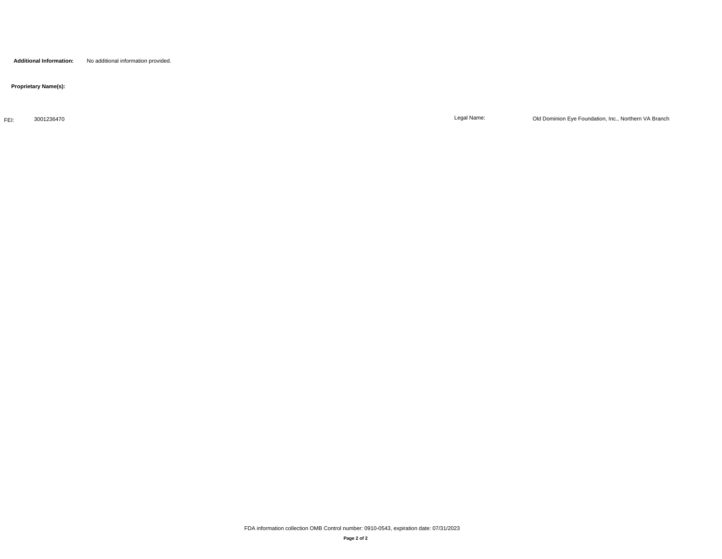**Additional Information:** No additional information provided.

 **Proprietary Name(s):**

FEI: 3001236470

Legal Name: Old Dominion Eye Foundation, Inc., Northern VA Branch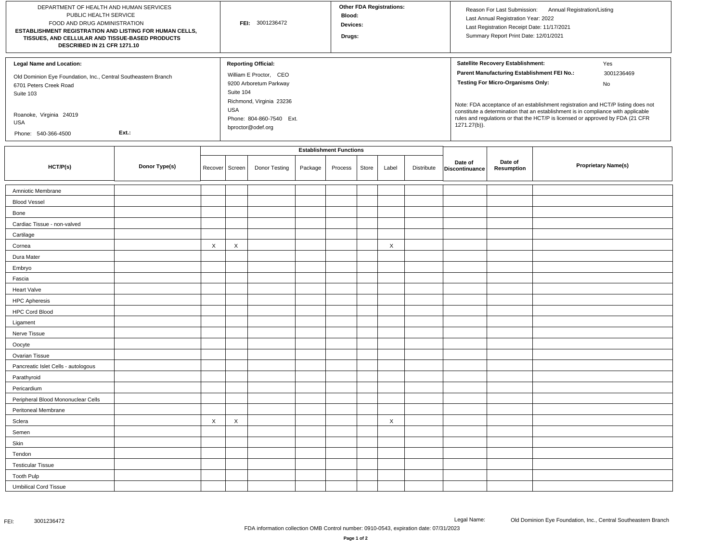| DEPARTMENT OF HEALTH AND HUMAN SERVICES<br>PUBLIC HEALTH SERVICE<br>FOOD AND DRUG ADMINISTRATION<br>ESTABLISHMENT REGISTRATION AND LISTING FOR HUMAN CELLS,<br>TISSUES, AND CELLULAR AND TISSUE-BASED PRODUCTS<br>DESCRIBED IN 21 CFR 1271.10 |               |                  |   | FEI: 3001236472                                                                                                         |         |                                |       | <b>Other FDA Registrations:</b> |            |                                                                                                                                                                                                                                                                                                                                  | Reason For Last Submission: Annual Registration/Listing<br>Last Annual Registration Year: 2022<br>Last Registration Receipt Date: 11/17/2021<br>Summary Report Print Date: 12/01/2021 |  |  |  |
|-----------------------------------------------------------------------------------------------------------------------------------------------------------------------------------------------------------------------------------------------|---------------|------------------|---|-------------------------------------------------------------------------------------------------------------------------|---------|--------------------------------|-------|---------------------------------|------------|----------------------------------------------------------------------------------------------------------------------------------------------------------------------------------------------------------------------------------------------------------------------------------------------------------------------------------|---------------------------------------------------------------------------------------------------------------------------------------------------------------------------------------|--|--|--|
| <b>Legal Name and Location:</b><br>Old Dominion Eye Foundation, Inc., Central Southeastern Branch<br>6701 Peters Creek Road<br>Suite 103<br>Roanoke, Virginia 24019                                                                           |               |                  |   | <b>Reporting Official:</b><br>William E Proctor, CEO<br>9200 Arboretum Parkway<br>Suite 104<br>Richmond, Virginia 23236 |         |                                |       |                                 |            | Satellite Recovery Establishment:<br>Yes<br>Parent Manufacturing Establishment FEI No.:<br>3001236469<br><b>Testing For Micro-Organisms Only:</b><br>No<br>Note: FDA acceptance of an establishment registration and HCT/P listing does not<br>constitute a determination that an establishment is in compliance with applicable |                                                                                                                                                                                       |  |  |  |
| <b>USA</b><br>Ext.:<br>Phone: 540-366-4500                                                                                                                                                                                                    |               |                  |   | Phone: 804-860-7540 Ext.<br>bproctor@odef.org                                                                           |         |                                |       |                                 |            | 1271.27(b)).                                                                                                                                                                                                                                                                                                                     | rules and regulations or that the HCT/P is licensed or approved by FDA (21 CFR                                                                                                        |  |  |  |
|                                                                                                                                                                                                                                               |               |                  |   |                                                                                                                         |         | <b>Establishment Functions</b> |       |                                 |            |                                                                                                                                                                                                                                                                                                                                  |                                                                                                                                                                                       |  |  |  |
| HCT/P(s)                                                                                                                                                                                                                                      | Donor Type(s) | Recover   Screen |   | Donor Testing                                                                                                           | Package | Process                        | Store | Label                           | Distribute | Date of<br>Discontinuance                                                                                                                                                                                                                                                                                                        | Date of<br><b>Proprietary Name(s)</b><br>Resumption                                                                                                                                   |  |  |  |
| Amniotic Membrane                                                                                                                                                                                                                             |               |                  |   |                                                                                                                         |         |                                |       |                                 |            |                                                                                                                                                                                                                                                                                                                                  |                                                                                                                                                                                       |  |  |  |
| <b>Blood Vessel</b>                                                                                                                                                                                                                           |               |                  |   |                                                                                                                         |         |                                |       |                                 |            |                                                                                                                                                                                                                                                                                                                                  |                                                                                                                                                                                       |  |  |  |
| Bone                                                                                                                                                                                                                                          |               |                  |   |                                                                                                                         |         |                                |       |                                 |            |                                                                                                                                                                                                                                                                                                                                  |                                                                                                                                                                                       |  |  |  |
| Cardiac Tissue - non-valved                                                                                                                                                                                                                   |               |                  |   |                                                                                                                         |         |                                |       |                                 |            |                                                                                                                                                                                                                                                                                                                                  |                                                                                                                                                                                       |  |  |  |
| Cartilage                                                                                                                                                                                                                                     |               |                  |   |                                                                                                                         |         |                                |       |                                 |            |                                                                                                                                                                                                                                                                                                                                  |                                                                                                                                                                                       |  |  |  |
| Cornea                                                                                                                                                                                                                                        |               | X                | X |                                                                                                                         |         |                                |       | X                               |            |                                                                                                                                                                                                                                                                                                                                  |                                                                                                                                                                                       |  |  |  |
| Dura Mater                                                                                                                                                                                                                                    |               |                  |   |                                                                                                                         |         |                                |       |                                 |            |                                                                                                                                                                                                                                                                                                                                  |                                                                                                                                                                                       |  |  |  |
| Embryo                                                                                                                                                                                                                                        |               |                  |   |                                                                                                                         |         |                                |       |                                 |            |                                                                                                                                                                                                                                                                                                                                  |                                                                                                                                                                                       |  |  |  |
| Fascia                                                                                                                                                                                                                                        |               |                  |   |                                                                                                                         |         |                                |       |                                 |            |                                                                                                                                                                                                                                                                                                                                  |                                                                                                                                                                                       |  |  |  |
| <b>Heart Valve</b>                                                                                                                                                                                                                            |               |                  |   |                                                                                                                         |         |                                |       |                                 |            |                                                                                                                                                                                                                                                                                                                                  |                                                                                                                                                                                       |  |  |  |
| <b>HPC Apheresis</b>                                                                                                                                                                                                                          |               |                  |   |                                                                                                                         |         |                                |       |                                 |            |                                                                                                                                                                                                                                                                                                                                  |                                                                                                                                                                                       |  |  |  |
| <b>HPC Cord Blood</b>                                                                                                                                                                                                                         |               |                  |   |                                                                                                                         |         |                                |       |                                 |            |                                                                                                                                                                                                                                                                                                                                  |                                                                                                                                                                                       |  |  |  |
| Ligament                                                                                                                                                                                                                                      |               |                  |   |                                                                                                                         |         |                                |       |                                 |            |                                                                                                                                                                                                                                                                                                                                  |                                                                                                                                                                                       |  |  |  |
| Nerve Tissue                                                                                                                                                                                                                                  |               |                  |   |                                                                                                                         |         |                                |       |                                 |            |                                                                                                                                                                                                                                                                                                                                  |                                                                                                                                                                                       |  |  |  |
| Oocyte                                                                                                                                                                                                                                        |               |                  |   |                                                                                                                         |         |                                |       |                                 |            |                                                                                                                                                                                                                                                                                                                                  |                                                                                                                                                                                       |  |  |  |
| Ovarian Tissue                                                                                                                                                                                                                                |               |                  |   |                                                                                                                         |         |                                |       |                                 |            |                                                                                                                                                                                                                                                                                                                                  |                                                                                                                                                                                       |  |  |  |
| Pancreatic Islet Cells - autologous                                                                                                                                                                                                           |               |                  |   |                                                                                                                         |         |                                |       |                                 |            |                                                                                                                                                                                                                                                                                                                                  |                                                                                                                                                                                       |  |  |  |
| Parathyroid                                                                                                                                                                                                                                   |               |                  |   |                                                                                                                         |         |                                |       |                                 |            |                                                                                                                                                                                                                                                                                                                                  |                                                                                                                                                                                       |  |  |  |
| Pericardium                                                                                                                                                                                                                                   |               |                  |   |                                                                                                                         |         |                                |       |                                 |            |                                                                                                                                                                                                                                                                                                                                  |                                                                                                                                                                                       |  |  |  |
| Peripheral Blood Mononuclear Cells                                                                                                                                                                                                            |               |                  |   |                                                                                                                         |         |                                |       |                                 |            |                                                                                                                                                                                                                                                                                                                                  |                                                                                                                                                                                       |  |  |  |
| Peritoneal Membrane                                                                                                                                                                                                                           |               |                  |   |                                                                                                                         |         |                                |       |                                 |            |                                                                                                                                                                                                                                                                                                                                  |                                                                                                                                                                                       |  |  |  |
| Sclera                                                                                                                                                                                                                                        |               | X                | X |                                                                                                                         |         |                                |       | X                               |            |                                                                                                                                                                                                                                                                                                                                  |                                                                                                                                                                                       |  |  |  |
| Semen                                                                                                                                                                                                                                         |               |                  |   |                                                                                                                         |         |                                |       |                                 |            |                                                                                                                                                                                                                                                                                                                                  |                                                                                                                                                                                       |  |  |  |
| Skin                                                                                                                                                                                                                                          |               |                  |   |                                                                                                                         |         |                                |       |                                 |            |                                                                                                                                                                                                                                                                                                                                  |                                                                                                                                                                                       |  |  |  |
| Tendon                                                                                                                                                                                                                                        |               |                  |   |                                                                                                                         |         |                                |       |                                 |            |                                                                                                                                                                                                                                                                                                                                  |                                                                                                                                                                                       |  |  |  |
| <b>Testicular Tissue</b>                                                                                                                                                                                                                      |               |                  |   |                                                                                                                         |         |                                |       |                                 |            |                                                                                                                                                                                                                                                                                                                                  |                                                                                                                                                                                       |  |  |  |
| <b>Tooth Pulp</b>                                                                                                                                                                                                                             |               |                  |   |                                                                                                                         |         |                                |       |                                 |            |                                                                                                                                                                                                                                                                                                                                  |                                                                                                                                                                                       |  |  |  |
| <b>Umbilical Cord Tissue</b>                                                                                                                                                                                                                  |               |                  |   |                                                                                                                         |         |                                |       |                                 |            |                                                                                                                                                                                                                                                                                                                                  |                                                                                                                                                                                       |  |  |  |